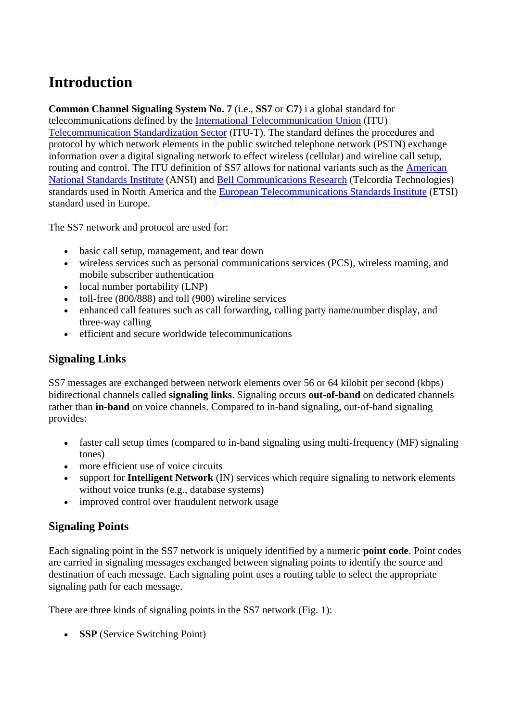## **Introduction**

**Common Channel Signaling System No. 7** (i.e., **SS7** or **C7**) i a global standard for

telecommunications defined by the [International Telecommunication Union](http://www.itu.int/) (ITU) [Telecommunication Standardization Sector](http://www.itu.int/ITU-T/) (ITU-T). The standard defines the procedures and protocol by which network elements in the public switched telephone network (PSTN) exchange information over a digital signaling network to effect wireless (cellular) and wireline call setup, routing and control. The ITU definition of SS7 allows for national variants such as the [American](http://www.ansi.org/)  [National Standards Institute](http://www.ansi.org/) (ANSI) and [Bell Communications Research](http://www.telcordia.com/) (Telcordia Technologies) standards used in North America and the [European Telecommunications Standards Institute](http://www.etsi.org/) (ETSI) standard used in Europe.

The SS7 network and protocol are used for:

- basic call setup, management, and tear down
- wireless services such as personal communications services (PCS), wireless roaming, and mobile subscriber authentication
- local number portability (LNP)
- toll-free (800/888) and toll (900) wireline services
- enhanced call features such as call forwarding, calling party name/number display, and three-way calling
- efficient and secure worldwide telecommunications

## **Signaling Links**

SS7 messages are exchanged between network elements over 56 or 64 kilobit per second (kbps) bidirectional channels called **signaling links**. Signaling occurs **out-of-band** on dedicated channels rather than **in-band** on voice channels. Compared to in-band signaling, out-of-band signaling provides:

- faster call setup times (compared to in-band signaling using multi-frequency (MF) signaling tones)
- more efficient use of voice circuits
- support for **Intelligent Network** (IN) services which require signaling to network elements without voice trunks (e.g., database systems)
- improved control over fraudulent network usage

## **Signaling Points**

Each signaling point in the SS7 network is uniquely identified by a numeric **point code**. Point codes are carried in signaling messages exchanged between signaling points to identify the source and destination of each message. Each signaling point uses a routing table to select the appropriate signaling path for each message.

There are three kinds of signaling points in the SS7 network (Fig. 1):

• **SSP** (Service Switching Point)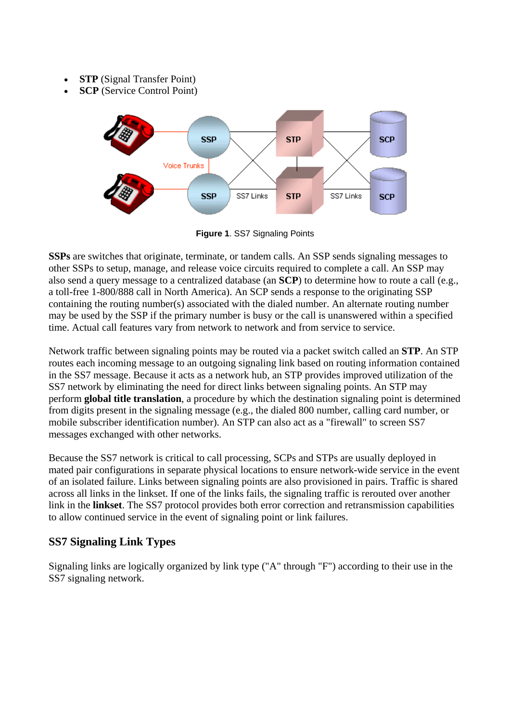- **STP** (Signal Transfer Point)
- **SCP** (Service Control Point)



**Figure 1**. SS7 Signaling Points

**SSPs** are switches that originate, terminate, or tandem calls. An SSP sends signaling messages to other SSPs to setup, manage, and release voice circuits required to complete a call. An SSP may also send a query message to a centralized database (an **SCP**) to determine how to route a call (e.g., a toll-free 1-800/888 call in North America). An SCP sends a response to the originating SSP containing the routing number(s) associated with the dialed number. An alternate routing number may be used by the SSP if the primary number is busy or the call is unanswered within a specified time. Actual call features vary from network to network and from service to service.

Network traffic between signaling points may be routed via a packet switch called an **STP**. An STP routes each incoming message to an outgoing signaling link based on routing information contained in the SS7 message. Because it acts as a network hub, an STP provides improved utilization of the SS7 network by eliminating the need for direct links between signaling points. An STP may perform **global title translation**, a procedure by which the destination signaling point is determined from digits present in the signaling message (e.g., the dialed 800 number, calling card number, or mobile subscriber identification number). An STP can also act as a "firewall" to screen SS7 messages exchanged with other networks.

Because the SS7 network is critical to call processing, SCPs and STPs are usually deployed in mated pair configurations in separate physical locations to ensure network-wide service in the event of an isolated failure. Links between signaling points are also provisioned in pairs. Traffic is shared across all links in the linkset. If one of the links fails, the signaling traffic is rerouted over another link in the **linkset**. The SS7 protocol provides both error correction and retransmission capabilities to allow continued service in the event of signaling point or link failures.

## **SS7 Signaling Link Types**

Signaling links are logically organized by link type ("A" through "F") according to their use in the SS7 signaling network.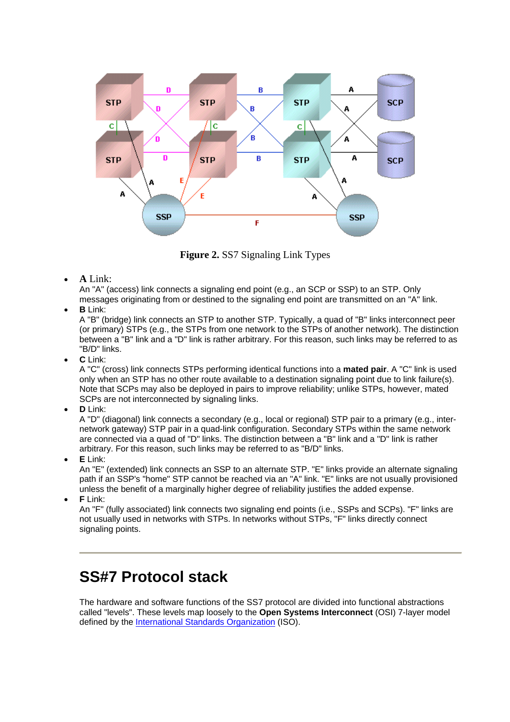

**Figure 2.** SS7 Signaling Link Types

• **A** Link:

An "A" (access) link connects a signaling end point (e.g., an SCP or SSP) to an STP. Only messages originating from or destined to the signaling end point are transmitted on an "A" link.

• **B** Link:

A "B" (bridge) link connects an STP to another STP. Typically, a quad of "B" links interconnect peer (or primary) STPs (e.g., the STPs from one network to the STPs of another network). The distinction between a "B" link and a "D" link is rather arbitrary. For this reason, such links may be referred to as "B/D" links.

• **C** Link:

A "C" (cross) link connects STPs performing identical functions into a **mated pair**. A "C" link is used only when an STP has no other route available to a destination signaling point due to link failure(s). Note that SCPs may also be deployed in pairs to improve reliability; unlike STPs, however, mated SCPs are not interconnected by signaling links.

• **D** Link:

A "D" (diagonal) link connects a secondary (e.g., local or regional) STP pair to a primary (e.g., internetwork gateway) STP pair in a quad-link configuration. Secondary STPs within the same network are connected via a quad of "D" links. The distinction between a "B" link and a "D" link is rather arbitrary. For this reason, such links may be referred to as "B/D" links.

• **E** Link:

An "E" (extended) link connects an SSP to an alternate STP. "E" links provide an alternate signaling path if an SSP's "home" STP cannot be reached via an "A" link. "E" links are not usually provisioned unless the benefit of a marginally higher degree of reliability justifies the added expense.

• **F** Link:

An "F" (fully associated) link connects two signaling end points (i.e., SSPs and SCPs). "F" links are not usually used in networks with STPs. In networks without STPs, "F" links directly connect signaling points.

## **SS#7 Protocol stack**

The hardware and software functions of the SS7 protocol are divided into functional abstractions called "levels". These levels map loosely to the **Open Systems Interconnect** (OSI) 7-layer model defined by the [International Standards Organization](http://www.iso.ch/) (ISO).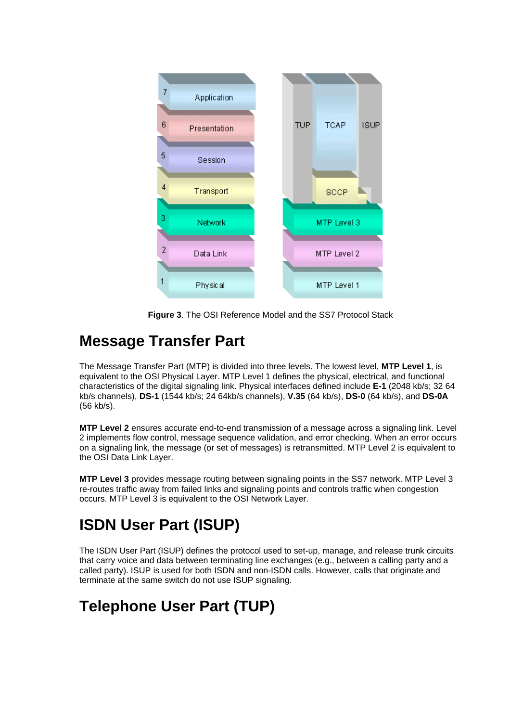

**Figure 3**. The OSI Reference Model and the SS7 Protocol Stack

## **Message Transfer Part**

The Message Transfer Part (MTP) is divided into three levels. The lowest level, **MTP Level 1**, is equivalent to the OSI Physical Layer. MTP Level 1 defines the physical, electrical, and functional characteristics of the digital signaling link. Physical interfaces defined include **E-1** (2048 kb/s; 32 64 kb/s channels), **DS-1** (1544 kb/s; 24 64kb/s channels), **V.35** (64 kb/s), **DS-0** (64 kb/s), and **DS-0A** (56 kb/s).

**MTP Level 2** ensures accurate end-to-end transmission of a message across a signaling link. Level 2 implements flow control, message sequence validation, and error checking. When an error occurs on a signaling link, the message (or set of messages) is retransmitted. MTP Level 2 is equivalent to the OSI Data Link Layer.

**MTP Level 3** provides message routing between signaling points in the SS7 network. MTP Level 3 re-routes traffic away from failed links and signaling points and controls traffic when congestion occurs. MTP Level 3 is equivalent to the OSI Network Layer.

# **ISDN User Part (ISUP)**

The ISDN User Part (ISUP) defines the protocol used to set-up, manage, and release trunk circuits that carry voice and data between terminating line exchanges (e.g., between a calling party and a called party). ISUP is used for both ISDN and non-ISDN calls. However, calls that originate and terminate at the same switch do not use ISUP signaling.

## **Telephone User Part (TUP)**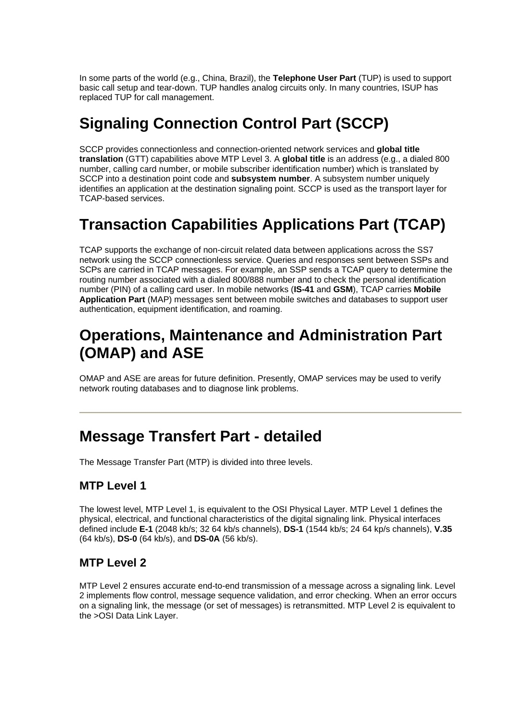In some parts of the world (e.g., China, Brazil), the **Telephone User Part** (TUP) is used to support basic call setup and tear-down. TUP handles analog circuits only. In many countries, ISUP has replaced TUP for call management.

# **Signaling Connection Control Part (SCCP)**

SCCP provides connectionless and connection-oriented network services and **global title translation** (GTT) capabilities above MTP Level 3. A **global title** is an address (e.g., a dialed 800 number, calling card number, or mobile subscriber identification number) which is translated by SCCP into a destination point code and **subsystem number**. A subsystem number uniquely identifies an application at the destination signaling point. SCCP is used as the transport layer for TCAP-based services.

# **Transaction Capabilities Applications Part (TCAP)**

TCAP supports the exchange of non-circuit related data between applications across the SS7 network using the SCCP connectionless service. Queries and responses sent between SSPs and SCPs are carried in TCAP messages. For example, an SSP sends a TCAP query to determine the routing number associated with a dialed 800/888 number and to check the personal identification number (PIN) of a calling card user. In mobile networks (**IS-41** and **GSM**), TCAP carries **Mobile Application Part** (MAP) messages sent between mobile switches and databases to support user authentication, equipment identification, and roaming.

## **Operations, Maintenance and Administration Part (OMAP) and ASE**

OMAP and ASE are areas for future definition. Presently, OMAP services may be used to verify network routing databases and to diagnose link problems.

## **Message Transfert Part - detailed**

The Message Transfer Part (MTP) is divided into three levels.

## **MTP Level 1**

The lowest level, MTP Level 1, is equivalent to the OSI Physical Layer. MTP Level 1 defines the physical, electrical, and functional characteristics of the digital signaling link. Physical interfaces defined include **E-1** (2048 kb/s; 32 64 kb/s channels), **DS-1** (1544 kb/s; 24 64 kp/s channels), **V.35** (64 kb/s), **DS-0** (64 kb/s), and **DS-0A** (56 kb/s).

## **MTP Level 2**

MTP Level 2 ensures accurate end-to-end transmission of a message across a signaling link. Level 2 implements flow control, message sequence validation, and error checking. When an error occurs on a signaling link, the message (or set of messages) is retransmitted. MTP Level 2 is equivalent to the >OSI Data Link Layer.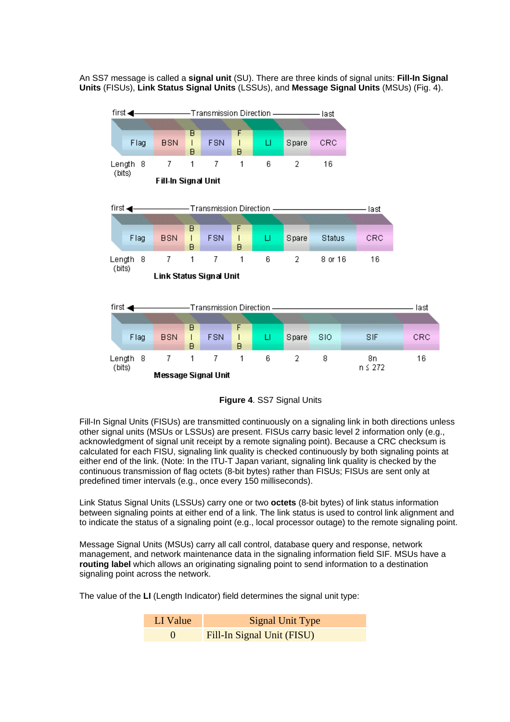An SS7 message is called a **signal unit** (SU). There are three kinds of signal units: **Fill-In Signal Units** (FISUs), **Link Status Signal Units** (LSSUs), and **Message Signal Units** (MSUs) (Fig. 4).



**Figure 4**. SS7 Signal Units

Fill-In Signal Units (FISUs) are transmitted continuously on a signaling link in both directions unless other signal units (MSUs or LSSUs) are present. FISUs carry basic level 2 information only (e.g., acknowledgment of signal unit receipt by a remote signaling point). Because a CRC checksum is calculated for each FISU, signaling link quality is checked continuously by both signaling points at either end of the link. (Note: In the ITU-T Japan variant, signaling link quality is checked by the continuous transmission of flag octets (8-bit bytes) rather than FISUs; FISUs are sent only at predefined timer intervals (e.g., once every 150 milliseconds).

Link Status Signal Units (LSSUs) carry one or two **octets** (8-bit bytes) of link status information between signaling points at either end of a link. The link status is used to control link alignment and to indicate the status of a signaling point (e.g., local processor outage) to the remote signaling point.

Message Signal Units (MSUs) carry all call control, database query and response, network management, and network maintenance data in the signaling information field SIF. MSUs have a **routing label** which allows an originating signaling point to send information to a destination signaling point across the network.

The value of the **LI** (Length Indicator) field determines the signal unit type:

| LI Value  | <b>Signal Unit Type</b>    |
|-----------|----------------------------|
| $\bigcap$ | Fill-In Signal Unit (FISU) |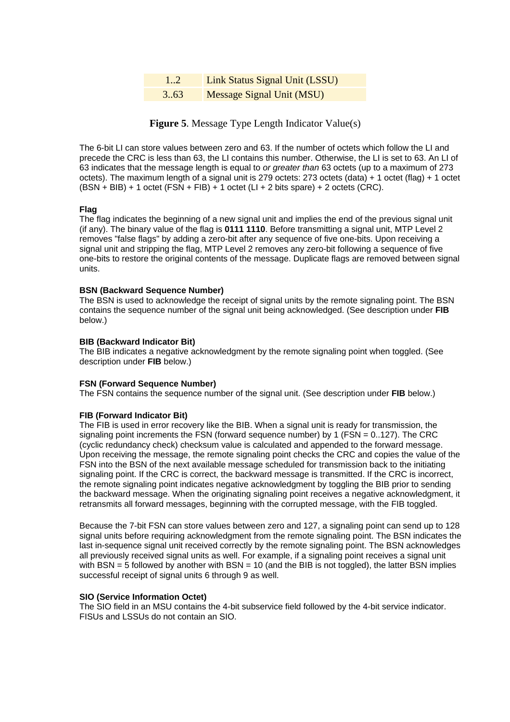| 12   | <b>Link Status Signal Unit (LSSU)</b> |
|------|---------------------------------------|
| 3.63 | <b>Message Signal Unit (MSU)</b>      |

**Figure 5**. Message Type Length Indicator Value(s)

The 6-bit LI can store values between zero and 63. If the number of octets which follow the LI and precede the CRC is less than 63, the LI contains this number. Otherwise, the LI is set to 63. An LI of 63 indicates that the message length is equal to *or greater than* 63 octets (up to a maximum of 273 octets). The maximum length of a signal unit is 279 octets: 273 octets (data) + 1 octet (flag) + 1 octet  $(BSN + BIB) + 1$  octet  $(FSN + FIB) + 1$  octet  $(LI + 2$  bits spare) + 2 octets  $(CRC)$ .

#### **Flag**

The flag indicates the beginning of a new signal unit and implies the end of the previous signal unit (if any). The binary value of the flag is **0111 1110**. Before transmitting a signal unit, MTP Level 2 removes "false flags" by adding a zero-bit after any sequence of five one-bits. Upon receiving a signal unit and stripping the flag, MTP Level 2 removes any zero-bit following a sequence of five one-bits to restore the original contents of the message. Duplicate flags are removed between signal units.

#### **BSN (Backward Sequence Number)**

The BSN is used to acknowledge the receipt of signal units by the remote signaling point. The BSN contains the sequence number of the signal unit being acknowledged. (See description under **FIB** below.)

#### **BIB (Backward Indicator Bit)**

The BIB indicates a negative acknowledgment by the remote signaling point when toggled. (See description under **FIB** below.)

#### **FSN (Forward Sequence Number)**

The FSN contains the sequence number of the signal unit. (See description under **FIB** below.)

#### **FIB (Forward Indicator Bit)**

The FIB is used in error recovery like the BIB. When a signal unit is ready for transmission, the signaling point increments the FSN (forward sequence number) by 1 (FSN = 0..127). The CRC (cyclic redundancy check) checksum value is calculated and appended to the forward message. Upon receiving the message, the remote signaling point checks the CRC and copies the value of the FSN into the BSN of the next available message scheduled for transmission back to the initiating signaling point. If the CRC is correct, the backward message is transmitted. If the CRC is incorrect, the remote signaling point indicates negative acknowledgment by toggling the BIB prior to sending the backward message. When the originating signaling point receives a negative acknowledgment, it retransmits all forward messages, beginning with the corrupted message, with the FIB toggled.

Because the 7-bit FSN can store values between zero and 127, a signaling point can send up to 128 signal units before requiring acknowledgment from the remote signaling point. The BSN indicates the last in-sequence signal unit received correctly by the remote signaling point. The BSN acknowledges all previously received signal units as well. For example, if a signaling point receives a signal unit with BSN  $=$  5 followed by another with BSN  $=$  10 (and the BIB is not toggled), the latter BSN implies successful receipt of signal units 6 through 9 as well.

#### **SIO (Service Information Octet)**

The SIO field in an MSU contains the 4-bit subservice field followed by the 4-bit service indicator. FISUs and LSSUs do not contain an SIO.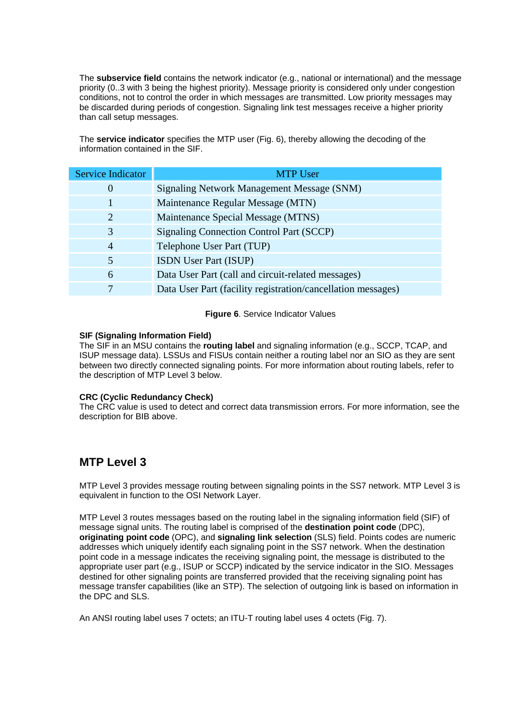The **subservice field** contains the network indicator (e.g., national or international) and the message priority (0..3 with 3 being the highest priority). Message priority is considered only under congestion conditions, not to control the order in which messages are transmitted. Low priority messages may be discarded during periods of congestion. Signaling link test messages receive a higher priority than call setup messages.

The **service indicator** specifies the MTP user (Fig. 6), thereby allowing the decoding of the information contained in the SIF.

| Service Indicator | <b>MTP User</b>                                              |  |
|-------------------|--------------------------------------------------------------|--|
| O                 | Signaling Network Management Message (SNM)                   |  |
|                   | Maintenance Regular Message (MTN)                            |  |
| 2                 | Maintenance Special Message (MTNS)                           |  |
| 3                 | <b>Signaling Connection Control Part (SCCP)</b>              |  |
| $\overline{4}$    | Telephone User Part (TUP)                                    |  |
| 5                 | <b>ISDN</b> User Part (ISUP)                                 |  |
| 6                 | Data User Part (call and circuit-related messages)           |  |
|                   | Data User Part (facility registration/cancellation messages) |  |

#### **Figure 6**. Service Indicator Values

#### **SIF (Signaling Information Field)**

The SIF in an MSU contains the **routing label** and signaling information (e.g., SCCP, TCAP, and ISUP message data). LSSUs and FISUs contain neither a routing label nor an SIO as they are sent between two directly connected signaling points. For more information about routing labels, refer to the description of MTP Level 3 below.

#### **CRC (Cyclic Redundancy Check)**

The CRC value is used to detect and correct data transmission errors. For more information, see the description for BIB above.

## **MTP Level 3**

MTP Level 3 provides message routing between signaling points in the SS7 network. MTP Level 3 is equivalent in function to the OSI Network Layer.

MTP Level 3 routes messages based on the routing label in the signaling information field (SIF) of message signal units. The routing label is comprised of the **destination point code** (DPC), **originating point code** (OPC), and **signaling link selection** (SLS) field. Points codes are numeric addresses which uniquely identify each signaling point in the SS7 network. When the destination point code in a message indicates the receiving signaling point, the message is distributed to the appropriate user part (e.g., ISUP or SCCP) indicated by the service indicator in the SIO. Messages destined for other signaling points are transferred provided that the receiving signaling point has message transfer capabilities (like an STP). The selection of outgoing link is based on information in the DPC and SLS.

An ANSI routing label uses 7 octets; an ITU-T routing label uses 4 octets (Fig. 7).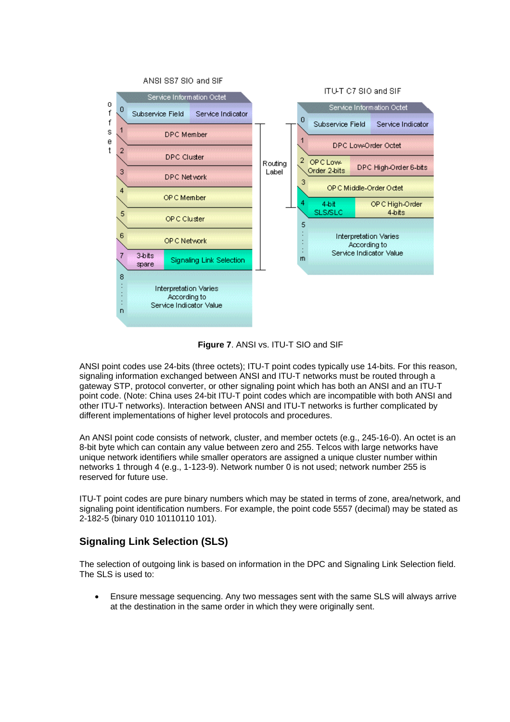

**Figure 7**. ANSI vs. ITU-T SIO and SIF

ANSI point codes use 24-bits (three octets); ITU-T point codes typically use 14-bits. For this reason, signaling information exchanged between ANSI and ITU-T networks must be routed through a gateway STP, protocol converter, or other signaling point which has both an ANSI and an ITU-T point code. (Note: China uses 24-bit ITU-T point codes which are incompatible with both ANSI and other ITU-T networks). Interaction between ANSI and ITU-T networks is further complicated by different implementations of higher level protocols and procedures.

An ANSI point code consists of network, cluster, and member octets (e.g., 245-16-0). An octet is an 8-bit byte which can contain any value between zero and 255. Telcos with large networks have unique network identifiers while smaller operators are assigned a unique cluster number within networks 1 through 4 (e.g., 1-123-9). Network number 0 is not used; network number 255 is reserved for future use.

ITU-T point codes are pure binary numbers which may be stated in terms of zone, area/network, and signaling point identification numbers. For example, the point code 5557 (decimal) may be stated as 2-182-5 (binary 010 10110110 101).

## **Signaling Link Selection (SLS)**

The selection of outgoing link is based on information in the DPC and Signaling Link Selection field. The SLS is used to:

• Ensure message sequencing. Any two messages sent with the same SLS will always arrive at the destination in the same order in which they were originally sent.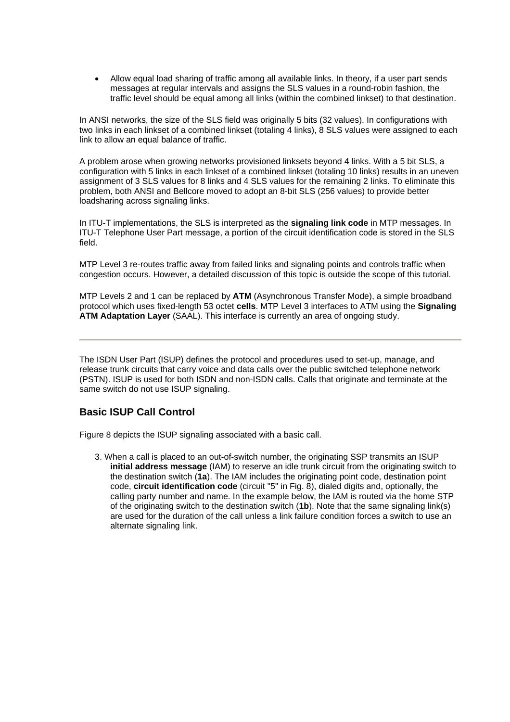• Allow equal load sharing of traffic among all available links. In theory, if a user part sends messages at regular intervals and assigns the SLS values in a round-robin fashion, the traffic level should be equal among all links (within the combined linkset) to that destination.

In ANSI networks, the size of the SLS field was originally 5 bits (32 values). In configurations with two links in each linkset of a combined linkset (totaling 4 links), 8 SLS values were assigned to each link to allow an equal balance of traffic.

A problem arose when growing networks provisioned linksets beyond 4 links. With a 5 bit SLS, a configuration with 5 links in each linkset of a combined linkset (totaling 10 links) results in an uneven assignment of 3 SLS values for 8 links and 4 SLS values for the remaining 2 links. To eliminate this problem, both ANSI and Bellcore moved to adopt an 8-bit SLS (256 values) to provide better loadsharing across signaling links.

In ITU-T implementations, the SLS is interpreted as the **signaling link code** in MTP messages. In ITU-T Telephone User Part message, a portion of the circuit identification code is stored in the SLS field.

MTP Level 3 re-routes traffic away from failed links and signaling points and controls traffic when congestion occurs. However, a detailed discussion of this topic is outside the scope of this tutorial.

MTP Levels 2 and 1 can be replaced by **ATM** (Asynchronous Transfer Mode), a simple broadband protocol which uses fixed-length 53 octet **cells**. MTP Level 3 interfaces to ATM using the **Signaling ATM Adaptation Layer** (SAAL). This interface is currently an area of ongoing study.

The ISDN User Part (ISUP) defines the protocol and procedures used to set-up, manage, and release trunk circuits that carry voice and data calls over the public switched telephone network (PSTN). ISUP is used for both ISDN and non-ISDN calls. Calls that originate and terminate at the same switch do not use ISUP signaling.

## **Basic ISUP Call Control**

Figure 8 depicts the ISUP signaling associated with a basic call.

3. When a call is placed to an out-of-switch number, the originating SSP transmits an ISUP **initial address message** (IAM) to reserve an idle trunk circuit from the originating switch to the destination switch (**1a**). The IAM includes the originating point code, destination point code, **circuit identification code** (circuit "5" in Fig. 8), dialed digits and, optionally, the calling party number and name. In the example below, the IAM is routed via the home STP of the originating switch to the destination switch (**1b**). Note that the same signaling link(s) are used for the duration of the call unless a link failure condition forces a switch to use an alternate signaling link.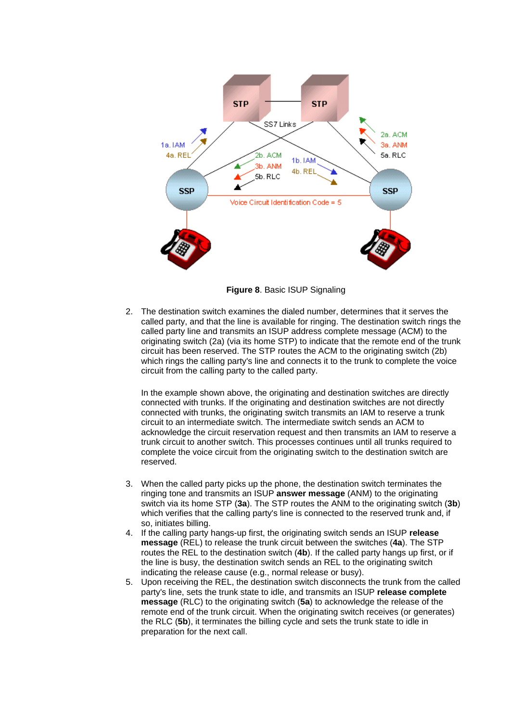

**Figure 8**. Basic ISUP Signaling

2. The destination switch examines the dialed number, determines that it serves the called party, and that the line is available for ringing. The destination switch rings the called party line and transmits an ISUP address complete message (ACM) to the originating switch (2a) (via its home STP) to indicate that the remote end of the trunk circuit has been reserved. The STP routes the ACM to the originating switch (2b) which rings the calling party's line and connects it to the trunk to complete the voice circuit from the calling party to the called party.

In the example shown above, the originating and destination switches are directly connected with trunks. If the originating and destination switches are not directly connected with trunks, the originating switch transmits an IAM to reserve a trunk circuit to an intermediate switch. The intermediate switch sends an ACM to acknowledge the circuit reservation request and then transmits an IAM to reserve a trunk circuit to another switch. This processes continues until all trunks required to complete the voice circuit from the originating switch to the destination switch are reserved.

- 3. When the called party picks up the phone, the destination switch terminates the ringing tone and transmits an ISUP **answer message** (ANM) to the originating switch via its home STP (**3a**). The STP routes the ANM to the originating switch (**3b**) which verifies that the calling party's line is connected to the reserved trunk and, if so, initiates billing.
- 4. If the calling party hangs-up first, the originating switch sends an ISUP **release message** (REL) to release the trunk circuit between the switches (**4a**). The STP routes the REL to the destination switch (**4b**). If the called party hangs up first, or if the line is busy, the destination switch sends an REL to the originating switch indicating the release cause (e.g., normal release or busy).
- 5. Upon receiving the REL, the destination switch disconnects the trunk from the called party's line, sets the trunk state to idle, and transmits an ISUP **release complete message** (RLC) to the originating switch (**5a**) to acknowledge the release of the remote end of the trunk circuit. When the originating switch receives (or generates) the RLC (**5b**), it terminates the billing cycle and sets the trunk state to idle in preparation for the next call.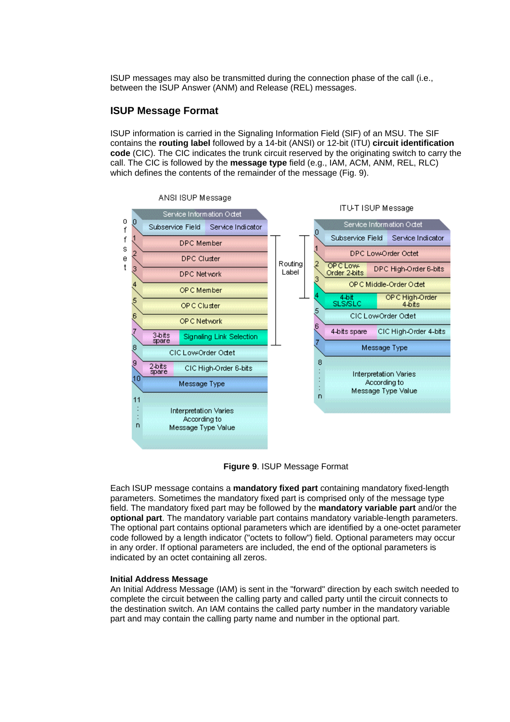ISUP messages may also be transmitted during the connection phase of the call (i.e., between the ISUP Answer (ANM) and Release (REL) messages.

#### **ISUP Message Format**

ISUP information is carried in the Signaling Information Field (SIF) of an MSU. The SIF contains the **routing label** followed by a 14-bit (ANSI) or 12-bit (ITU) **circuit identification code** (CIC). The CIC indicates the trunk circuit reserved by the originating switch to carry the call. The CIC is followed by the **message type** field (e.g., IAM, ACM, ANM, REL, RLC) which defines the contents of the remainder of the message (Fig. 9).



#### ANSI ISUP Message

**Figure 9**. ISUP Message Format

Each ISUP message contains a **mandatory fixed part** containing mandatory fixed-length parameters. Sometimes the mandatory fixed part is comprised only of the message type field. The mandatory fixed part may be followed by the **mandatory variable part** and/or the **optional part**. The mandatory variable part contains mandatory variable-length parameters. The optional part contains optional parameters which are identified by a one-octet parameter code followed by a length indicator ("octets to follow") field. Optional parameters may occur in any order. If optional parameters are included, the end of the optional parameters is indicated by an octet containing all zeros.

#### **Initial Address Message**

An Initial Address Message (IAM) is sent in the "forward" direction by each switch needed to complete the circuit between the calling party and called party until the circuit connects to the destination switch. An IAM contains the called party number in the mandatory variable part and may contain the calling party name and number in the optional part.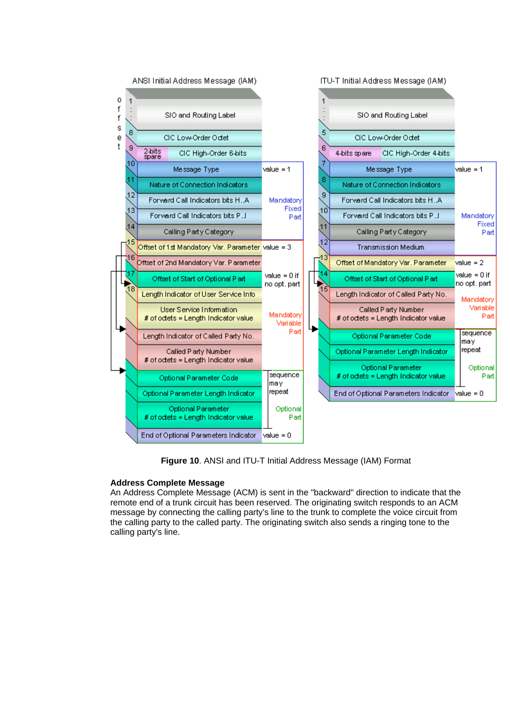

**Figure 10**. ANSI and ITU-T Initial Address Message (IAM) Format

#### **Address Complete Message**

An Address Complete Message (ACM) is sent in the "backward" direction to indicate that the remote end of a trunk circuit has been reserved. The originating switch responds to an ACM message by connecting the calling party's line to the trunk to complete the voice circuit from the calling party to the called party. The originating switch also sends a ringing tone to the calling party's line.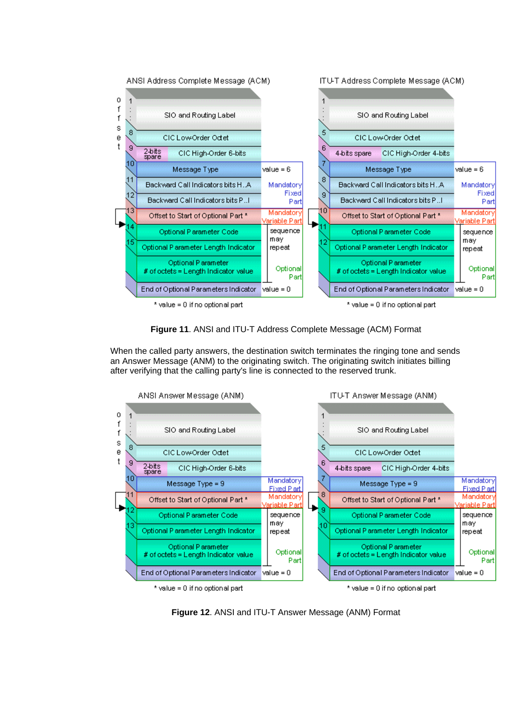

**Figure 11**. ANSI and ITU-T Address Complete Message (ACM) Format

When the called party answers, the destination switch terminates the ringing tone and sends an Answer Message (ANM) to the originating switch. The originating switch initiates billing after verifying that the calling party's line is connected to the reserved trunk.



**Figure 12**. ANSI and ITU-T Answer Message (ANM) Format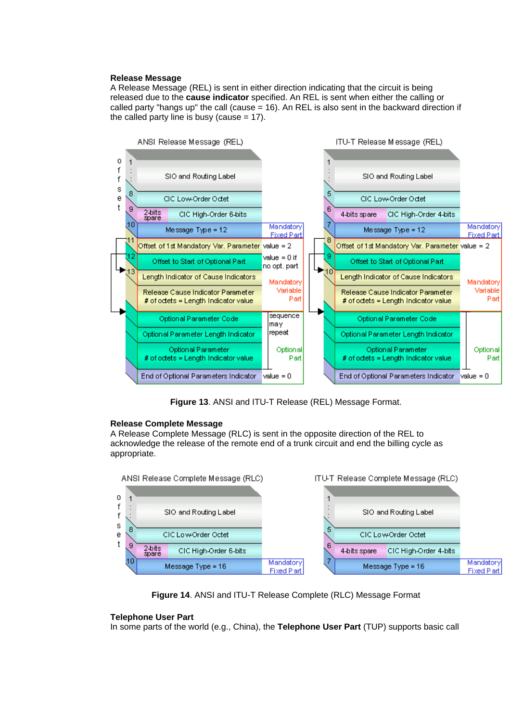#### **Release Message**

A Release Message (REL) is sent in either direction indicating that the circuit is being released due to the **cause indicator** specified. An REL is sent when either the calling or called party "hangs up" the call (cause = 16). An REL is also sent in the backward direction if the called party line is busy (cause  $= 17$ ).



**Figure 13**. ANSI and ITU-T Release (REL) Message Format.

#### **Release Complete Message**

A Release Complete Message (RLC) is sent in the opposite direction of the REL to acknowledge the release of the remote end of a trunk circuit and end the billing cycle as appropriate.



**Figure 14**. ANSI and ITU-T Release Complete (RLC) Message Format

#### **Telephone User Part**

In some parts of the world (e.g., China), the **Telephone User Part** (TUP) supports basic call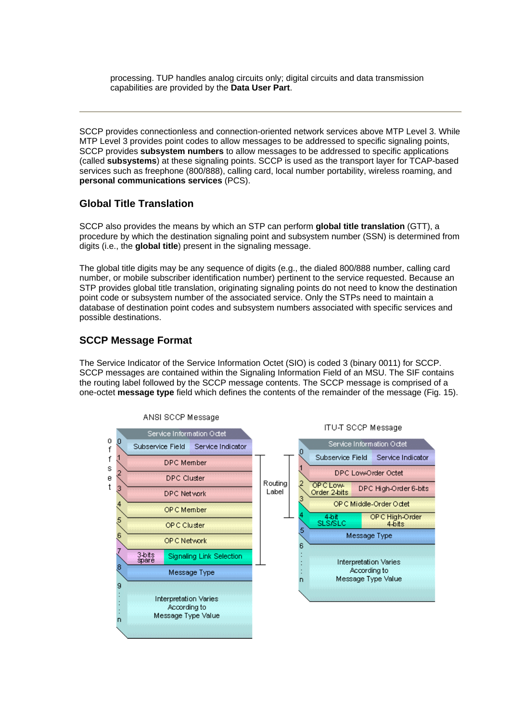processing. TUP handles analog circuits only; digital circuits and data transmission capabilities are provided by the **Data User Part**.

SCCP provides connectionless and connection-oriented network services above MTP Level 3. While MTP Level 3 provides point codes to allow messages to be addressed to specific signaling points, SCCP provides **subsystem numbers** to allow messages to be addressed to specific applications (called **subsystems**) at these signaling points. SCCP is used as the transport layer for TCAP-based services such as freephone (800/888), calling card, local number portability, wireless roaming, and **personal communications services** (PCS).

## **Global Title Translation**

SCCP also provides the means by which an STP can perform **global title translation** (GTT), a procedure by which the destination signaling point and subsystem number (SSN) is determined from digits (i.e., the **global title**) present in the signaling message.

The global title digits may be any sequence of digits (e.g., the dialed 800/888 number, calling card number, or mobile subscriber identification number) pertinent to the service requested. Because an STP provides global title translation, originating signaling points do not need to know the destination point code or subsystem number of the associated service. Only the STPs need to maintain a database of destination point codes and subsystem numbers associated with specific services and possible destinations.

## **SCCP Message Format**

The Service Indicator of the Service Information Octet (SIO) is coded 3 (binary 0011) for SCCP. SCCP messages are contained within the Signaling Information Field of an MSU. The SIF contains the routing label followed by the SCCP message contents. The SCCP message is comprised of a one-octet **message type** field which defines the contents of the remainder of the message (Fig. 15).

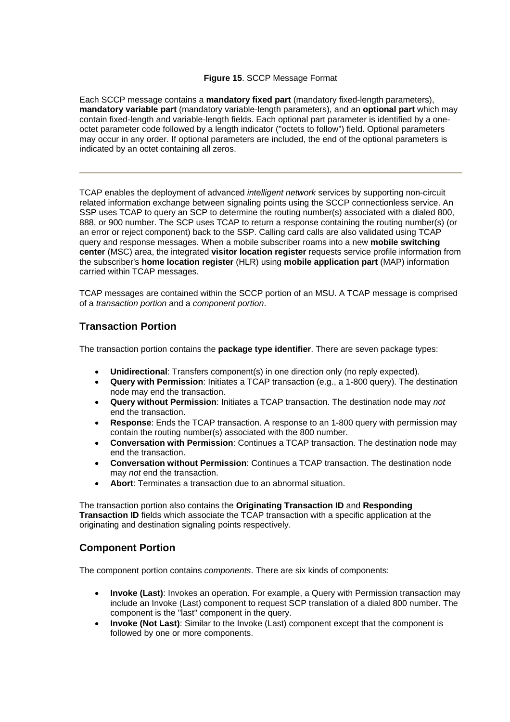#### **Figure 15**. SCCP Message Format

Each SCCP message contains a **mandatory fixed part** (mandatory fixed-length parameters), **mandatory variable part** (mandatory variable-length parameters), and an **optional part** which may contain fixed-length and variable-length fields. Each optional part parameter is identified by a oneoctet parameter code followed by a length indicator ("octets to follow") field. Optional parameters may occur in any order. If optional parameters are included, the end of the optional parameters is indicated by an octet containing all zeros.

TCAP enables the deployment of advanced *intelligent network* services by supporting non-circuit related information exchange between signaling points using the SCCP connectionless service. An SSP uses TCAP to query an SCP to determine the routing number(s) associated with a dialed 800, 888, or 900 number. The SCP uses TCAP to return a response containing the routing number(s) (or an error or reject component) back to the SSP. Calling card calls are also validated using TCAP query and response messages. When a mobile subscriber roams into a new **mobile switching center** (MSC) area, the integrated **visitor location register** requests service profile information from the subscriber's **home location register** (HLR) using **mobile application part** (MAP) information carried within TCAP messages.

TCAP messages are contained within the SCCP portion of an MSU. A TCAP message is comprised of a *transaction portion* and a *component portion*.

## **Transaction Portion**

The transaction portion contains the **package type identifier**. There are seven package types:

- **Unidirectional**: Transfers component(s) in one direction only (no reply expected).
- **Query with Permission**: Initiates a TCAP transaction (e.g., a 1-800 query). The destination node may end the transaction.
- **Query without Permission**: Initiates a TCAP transaction. The destination node may *not* end the transaction.
- **Response**: Ends the TCAP transaction. A response to an 1-800 query with permission may contain the routing number(s) associated with the 800 number.
- **Conversation with Permission**: Continues a TCAP transaction. The destination node may end the transaction.
- **Conversation without Permission**: Continues a TCAP transaction. The destination node may *not* end the transaction.
- **Abort**: Terminates a transaction due to an abnormal situation.

The transaction portion also contains the **Originating Transaction ID** and **Responding Transaction ID** fields which associate the TCAP transaction with a specific application at the originating and destination signaling points respectively.

## **Component Portion**

The component portion contains *components*. There are six kinds of components:

- **Invoke (Last)**: Invokes an operation. For example, a Query with Permission transaction may include an Invoke (Last) component to request SCP translation of a dialed 800 number. The component is the "last" component in the query.
- **Invoke (Not Last)**: Similar to the Invoke (Last) component except that the component is followed by one or more components.